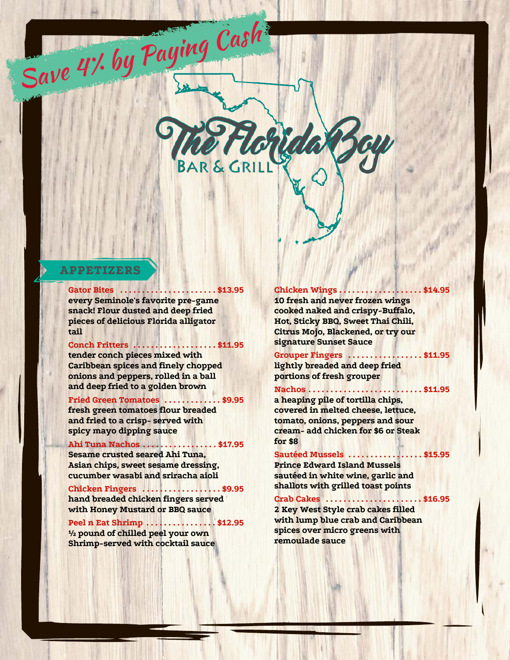

#### **APPETIZERS**

**tail**

 **. . . . . . . . . . . . . . . . . . . . . . \$13.95Gator Bites every Seminole's favorite pre-game snack! Flour dusted and deep fried pieces of delicious Florida alligator**

Save 4% by Paying Cash

**Conch Fritters** ....................\$11.95 signature Sunset Sauce

**tender conch pieces mixed with Caribbean spices and finely chopped onions and peppers, rolled in a ball and deep fried to a golden brown**

**Fried Green Tomatoes .............\$9.95 fresh green tomatoes flour breaded and fried to a crisp- served with spicy mayo dipping sauce**

## **for \$8 . . . . . . . . . . . . . . . . . \$17.95Ahi Tuna Nachos**

**Sesame crusted seared Ahi Tuna, Asian chips, sweet sesame dressing, cucumber wasabi and sriracha aioli**

**hand breaded chicken fingers served with Honey Mustard or BBQ sauce**

**Peel n Eat Shrimp** ................\$12.95

**½ pound of chilled peel your own Shrimp-served with cocktail sauce**

 **Chicken Wings.. 10 fresh and never frozen wings cooked naked and crispy-Buffalo, Hot, Sticky BBQ, Sweet Thai Chili, Citrus Mojo, Blackened, or try our**

 **. . . . . . . . . . . . . . . . . \$11.95Grouper Fingers lightly breaded and deep fried portions of fresh grouper**

 **. . . . . . . . . . . . . . . . . . . . . . . . . . \$11.95Nachos a heaping pile of tortilla chips, covered in melted cheese, lettuce, tomato, onions, peppers and sour cream- add chicken for \$6 or Steak**

**Sautéed Mussels ................. \$15.95 Prince Edward Island Mussels sautéed in white wine, garlic and** Chicken Fingers . . . . . . . . . . . . . . . . . \$9.95 **Shallots with grilled toast points** 

> **. . . . . . . . . . . . . . . . . . . . . . \$16.95Crab Cakes 2 Key West Style crab cakes filled with lump blue crab and Caribbean spices over micro greens with remoulade sauce**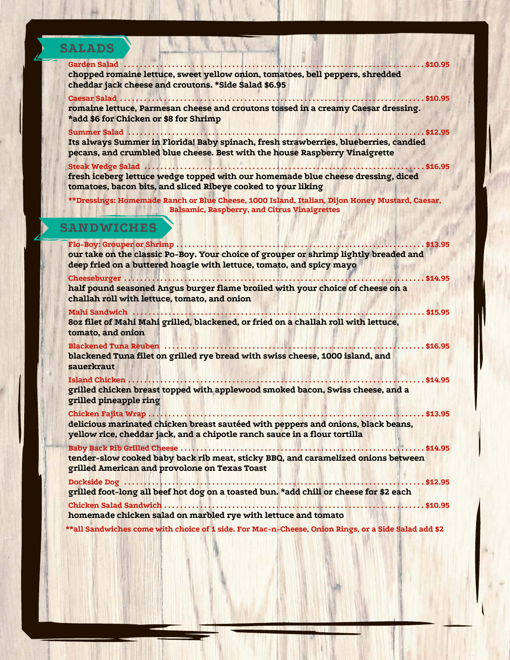| <b>SALADS</b>     |                                                                                                                                                                                                                  |  |  |
|-------------------|------------------------------------------------------------------------------------------------------------------------------------------------------------------------------------------------------------------|--|--|
|                   | <b>Garden Salad</b><br>$\ldots$ . \$10.95<br>chopped romaine lettuce, sweet yellow onion, tomatoes, bell peppers, shredded<br>cheddar jack cheese and croutons. * Side Salad \$6.95<br>Caesar Salad<br>. \$10.95 |  |  |
|                   | romaine lettuce, Parmesan cheese and croutons tossed in a creamy Caesar dressing.<br>*add \$6 for Chicken or \$8 for Shrimp<br>Summer Salad<br>$$ \$12.95                                                        |  |  |
|                   | Its always Summer in Florida! Baby spinach, fresh strawberries, blueberries, candied<br>pecans, and crumbled blue cheese. Best with the house Raspberry Vinaigrette                                              |  |  |
|                   | Steak Wedge Salad<br>$\ldots$ \$16.95<br>fresh iceberg lettuce wedge topped with our homemade blue cheese dressing, diced<br>tomatoes, bacon bits, and sliced Ribeye cooked to your liking                       |  |  |
|                   | **Dressings: Homemade Ranch or Blue Cheese, 1000 Island, Italian, Dijon Honey Mustard, Caesar,<br><b>Balsamic, Raspberry, and Citrus Vinaigrettes</b>                                                            |  |  |
| <b>SANDWICHES</b> |                                                                                                                                                                                                                  |  |  |
|                   | Flo-Boy: Grouper or Shrimp<br>$$ \$13.95<br>our take on the classic Po-Boy. Your choice of grouper or shrimp lightly breaded and<br>deep fried on a buttered hoagie with lettuce, tomato, and spicy mayo         |  |  |
|                   | Cheeseburger<br>. \$14.95<br>half pound seasoned Angus burger flame broiled with your choice of cheese on a<br>challah roll with lettuce, tomato, and onion                                                      |  |  |
|                   | <b>Mahi Sandwich</b><br>\$15.95<br>80z filet of Mahi Mahi grilled, blackened, or fried on a challah roll with lettuce,<br>tomato, and onion                                                                      |  |  |
|                   | <b>Blackened Tuna Reuben </b><br>$$ \$16.95<br>blackened Tuna filet on grilled rye bread with swiss cheese, 1000 island, and<br>sauerkraut                                                                       |  |  |
|                   | <b>Island Chicken.</b><br>. \$14.95<br>grilled chicken breast topped with applewood smoked bacon, Swiss cheese, and a<br>grilled pineapple ring                                                                  |  |  |
|                   | Chicken Fajita Wrap<br>$\ldots$ \$13.95 $\,$<br>delicious marinated chicken breast sautéed with peppers and onions, black beans,<br>yellow rice, cheddar jack, and a chipotle ranch sauce in a flour tortilla    |  |  |
|                   | tender-slow cooked baby back rib meat, sticky BBQ, and caramelized onions between<br>grilled American and provolone on Texas Toast                                                                               |  |  |
|                   | . \$12.95<br>grilled foot-long all beef hot dog on a toasted bun. *add chili or cheese for \$2 each                                                                                                              |  |  |
|                   | homemade chicken salad on marbled rye with lettuce and tomato                                                                                                                                                    |  |  |
|                   | **all Sandwiches come with choice of 1 side. For Mac-n-Cheese, Onion Rings, or a Side Salad add \$2                                                                                                              |  |  |

J

N

◢

z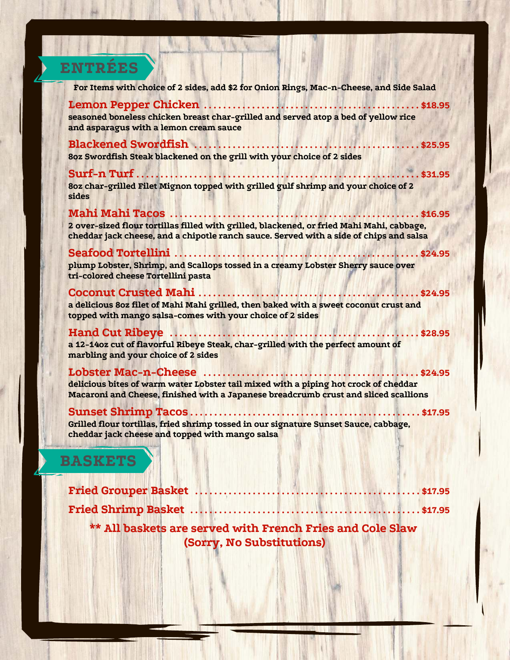# **ENTRÉES**

| For Items with choice of 2 sides, add \$2 for Onion Rings, Mac-n-Cheese, and Side Salad                                                                                             |  |  |
|-------------------------------------------------------------------------------------------------------------------------------------------------------------------------------------|--|--|
| seasoned boneless chicken breast char-grilled and served atop a bed of yellow rice<br>and asparagus with a lemon cream sauce                                                        |  |  |
| 80z Swordfish Steak blackened on the grill with your choice of 2 sides                                                                                                              |  |  |
| Surf-n Turf<br>$.$ \$31.95<br>8oz char-grilled Filet Mignon topped with grilled gulf shrimp and your choice of 2<br>sides                                                           |  |  |
| 2 over-sized flour tortillas filled with grilled, blackened, or fried Mahi Mahi, cabbage,<br>cheddar jack cheese, and a chipotle ranch sauce. Served with a side of chips and salsa |  |  |
| plump Lobster, Shrimp, and Scallops tossed in a creamy Lobster Sherry sauce over<br>tri-colored cheese Tortellini pasta                                                             |  |  |
| a delicious 80z filet of Mahi Mahi grilled, then baked with a sweet coconut crust and<br>topped with mango salsa-comes with your choice of 2 sides                                  |  |  |
| a 12-14oz cut of flavorful Ribeye Steak, char-grilled with the perfect amount of<br>marbling and your choice of 2 sides                                                             |  |  |
| delicious bites of warm water Lobster tail mixed with a piping hot crock of cheddar<br>Macaroni and Cheese, finished with a Japanese breadcrumb crust and sliced scallions          |  |  |
| Grilled flour tortillas, fried shrimp tossed in our signature Sunset Sauce, cabbage,<br>cheddar jack cheese and topped with mango salsa                                             |  |  |
| <b>BASKETS</b>                                                                                                                                                                      |  |  |
| Fried Grouper Basket<br>. \$17.95                                                                                                                                                   |  |  |

**\*\* All baskets are served with French Fries and Cole Slaw (Sorry, No Substitutions)**

**Fried Shrimp Basket . . . . . . . . . . . . . . . . . . . . . . . . . . . . . . . . . . . . . . . . . . . . . . . . \$17.95**